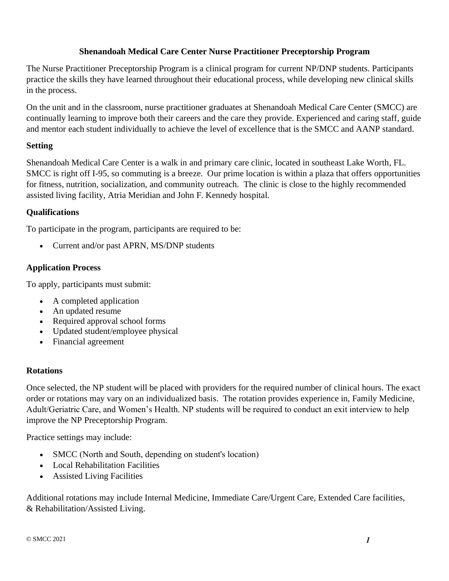## **Shenandoah Medical Care Center Nurse Practitioner Preceptorship Program**

The Nurse Practitioner Preceptorship Program is a clinical program for current NP/DNP students. Participants practice the skills they have learned throughout their educational process, while developing new clinical skills in the process.

On the unit and in the classroom, nurse practitioner graduates at Shenandoah Medical Care Center (SMCC) are continually learning to improve both their careers and the care they provide. Experienced and caring staff, guide and mentor each student individually to achieve the level of excellence that is the SMCC and AANP standard.

## **Setting**

Shenandoah Medical Care Center is a walk in and primary care clinic, located in southeast Lake Worth, FL. SMCC is right off I-95, so commuting is a breeze. Our prime location is within a plaza that offers opportunities for fitness, nutrition, socialization, and community outreach. The clinic is close to the highly recommended assisted living facility, Atria Meridian and John F. Kennedy hospital.

# **Qualifications**

To participate in the program, participants are required to be:

• Current and/or past APRN, MS/DNP students

# **Application Process**

To apply, participants must submit:

- A completed application
- An updated resume
- Required approval school forms
- Updated student/employee physical
- Financial agreement

#### **Rotations**

Once selected, the NP student will be placed with providers for the required number of clinical hours. The exact order or rotations may vary on an individualized basis. The rotation provides experience in, Family Medicine, Adult/Geriatric Care, and Women's Health. NP students will be required to conduct an exit interview to help improve the NP Preceptorship Program.

Practice settings may include:

- SMCC (North and South, depending on student's location)
- Local Rehabilitation Facilities
- Assisted Living Facilities

Additional rotations may include Internal Medicine, Immediate Care/Urgent Care, Extended Care facilities, & Rehabilitation/Assisted Living.